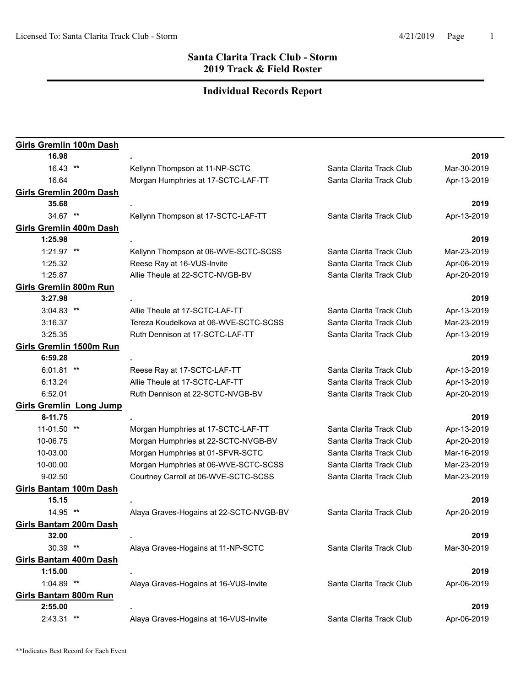| Girls Gremlin 100m Dash        |                                         |                          |             |
|--------------------------------|-----------------------------------------|--------------------------|-------------|
| 16.98                          |                                         |                          | 2019        |
| 16.43 **                       | Kellynn Thompson at 11-NP-SCTC          | Santa Clarita Track Club | Mar-30-2019 |
| 16.64                          | Morgan Humphries at 17-SCTC-LAF-TT      | Santa Clarita Track Club | Apr-13-2019 |
| <b>Girls Gremlin 200m Dash</b> |                                         |                          |             |
| 35.68                          |                                         |                          | 2019        |
| 34.67 **                       | Kellynn Thompson at 17-SCTC-LAF-TT      | Santa Clarita Track Club | Apr-13-2019 |
| Girls Gremlin 400m Dash        |                                         |                          |             |
| 1:25.98                        |                                         |                          | 2019        |
| $1:21.97$ **                   | Kellynn Thompson at 06-WVE-SCTC-SCSS    | Santa Clarita Track Club | Mar-23-2019 |
| 1:25.32                        | Reese Ray at 16-VUS-Invite              | Santa Clarita Track Club | Apr-06-2019 |
| 1:25.87                        | Allie Theule at 22-SCTC-NVGB-BV         | Santa Clarita Track Club | Apr-20-2019 |
| <b>Girls Gremlin 800m Run</b>  |                                         |                          |             |
| 3:27.98                        |                                         |                          | 2019        |
| $3:04.83$ **                   | Allie Theule at 17-SCTC-LAF-TT          | Santa Clarita Track Club | Apr-13-2019 |
| 3:16.37                        | Tereza Koudelkova at 06-WVE-SCTC-SCSS   | Santa Clarita Track Club | Mar-23-2019 |
| 3:25.35                        | Ruth Dennison at 17-SCTC-LAF-TT         | Santa Clarita Track Club | Apr-13-2019 |
| Girls Gremlin 1500m Run        |                                         |                          |             |
| 6:59.28                        |                                         |                          | 2019        |
| $6:01.81$ **                   | Reese Ray at 17-SCTC-LAF-TT             | Santa Clarita Track Club | Apr-13-2019 |
| 6:13.24                        | Allie Theule at 17-SCTC-LAF-TT          | Santa Clarita Track Club | Apr-13-2019 |
| 6:52.01                        | Ruth Dennison at 22-SCTC-NVGB-BV        | Santa Clarita Track Club | Apr-20-2019 |
| <b>Girls Gremlin Long Jump</b> |                                         |                          |             |
| 8-11.75                        |                                         |                          | 2019        |
| 11-01.50 **                    | Morgan Humphries at 17-SCTC-LAF-TT      | Santa Clarita Track Club | Apr-13-2019 |
| 10-06.75                       | Morgan Humphries at 22-SCTC-NVGB-BV     | Santa Clarita Track Club | Apr-20-2019 |
| 10-03.00                       | Morgan Humphries at 01-SFVR-SCTC        | Santa Clarita Track Club | Mar-16-2019 |
| 10-00.00                       | Morgan Humphries at 06-WVE-SCTC-SCSS    | Santa Clarita Track Club | Mar-23-2019 |
| $9 - 02.50$                    | Courtney Carroll at 06-WVE-SCTC-SCSS    | Santa Clarita Track Club | Mar-23-2019 |
| <b>Girls Bantam 100m Dash</b>  |                                         |                          |             |
| 15.15                          |                                         |                          | 2019        |
| 14.95 **                       | Alaya Graves-Hogains at 22-SCTC-NVGB-BV | Santa Clarita Track Club | Apr-20-2019 |
| Girls Bantam 200m Dash         |                                         |                          |             |
| 32.00                          |                                         |                          | 2019        |
| 30.39 **                       | Alaya Graves-Hogains at 11-NP-SCTC      | Santa Clarita Track Club | Mar-30-2019 |
| <b>Girls Bantam 400m Dash</b>  |                                         |                          |             |
| 1:15.00                        |                                         |                          | 2019        |
| 1:04.89 **                     | Alaya Graves-Hogains at 16-VUS-Invite   | Santa Clarita Track Club | Apr-06-2019 |
| Girls Bantam 800m Run          |                                         |                          |             |
| 2:55.00                        |                                         |                          | 2019        |
| 2:43.31 **                     | Alaya Graves-Hogains at 16-VUS-Invite   | Santa Clarita Track Club | Apr-06-2019 |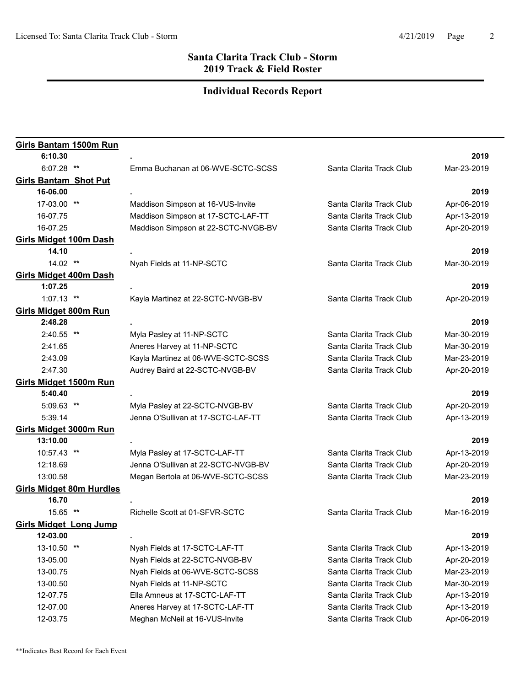| Girls Bantam 1500m Run          |                                     |                          |             |
|---------------------------------|-------------------------------------|--------------------------|-------------|
| 6:10.30                         |                                     |                          | 2019        |
| $6:07.28$ **                    | Emma Buchanan at 06-WVE-SCTC-SCSS   | Santa Clarita Track Club | Mar-23-2019 |
| <b>Girls Bantam Shot Put</b>    |                                     |                          |             |
| 16-06.00                        |                                     |                          | 2019        |
| 17-03.00 **                     | Maddison Simpson at 16-VUS-Invite   | Santa Clarita Track Club | Apr-06-2019 |
| 16-07.75                        | Maddison Simpson at 17-SCTC-LAF-TT  | Santa Clarita Track Club | Apr-13-2019 |
| 16-07.25                        | Maddison Simpson at 22-SCTC-NVGB-BV | Santa Clarita Track Club | Apr-20-2019 |
| <b>Girls Midget 100m Dash</b>   |                                     |                          |             |
| 14.10                           |                                     |                          | 2019        |
| 14.02 **                        | Nyah Fields at 11-NP-SCTC           | Santa Clarita Track Club | Mar-30-2019 |
| <b>Girls Midget 400m Dash</b>   |                                     |                          |             |
| 1:07.25                         |                                     |                          | 2019        |
| $1:07.13$ **                    | Kayla Martinez at 22-SCTC-NVGB-BV   | Santa Clarita Track Club | Apr-20-2019 |
| <b>Girls Midget 800m Run</b>    |                                     |                          |             |
| 2:48.28                         |                                     |                          | 2019        |
| $2:40.55$ **                    | Myla Pasley at 11-NP-SCTC           | Santa Clarita Track Club | Mar-30-2019 |
| 2:41.65                         | Aneres Harvey at 11-NP-SCTC         | Santa Clarita Track Club | Mar-30-2019 |
| 2:43.09                         | Kayla Martinez at 06-WVE-SCTC-SCSS  | Santa Clarita Track Club | Mar-23-2019 |
| 2:47.30                         | Audrey Baird at 22-SCTC-NVGB-BV     | Santa Clarita Track Club | Apr-20-2019 |
| Girls Midget 1500m Run          |                                     |                          |             |
| 5:40.40                         |                                     |                          | 2019        |
| 5:09.63 **                      | Myla Pasley at 22-SCTC-NVGB-BV      | Santa Clarita Track Club | Apr-20-2019 |
| 5:39.14                         | Jenna O'Sullivan at 17-SCTC-LAF-TT  | Santa Clarita Track Club | Apr-13-2019 |
| Girls Midget 3000m Run          |                                     |                          |             |
| 13:10.00                        |                                     |                          | 2019        |
| 10:57.43 **                     | Myla Pasley at 17-SCTC-LAF-TT       | Santa Clarita Track Club | Apr-13-2019 |
| 12:18.69                        | Jenna O'Sullivan at 22-SCTC-NVGB-BV | Santa Clarita Track Club | Apr-20-2019 |
| 13:00.58                        | Megan Bertola at 06-WVE-SCTC-SCSS   | Santa Clarita Track Club | Mar-23-2019 |
| <b>Girls Midget 80m Hurdles</b> |                                     |                          |             |
| 16.70                           |                                     |                          | 2019        |
| 15.65 **                        | Richelle Scott at 01-SFVR-SCTC      | Santa Clarita Track Club | Mar-16-2019 |
| <b>Girls Midget Long Jump</b>   |                                     |                          |             |
| 12-03.00                        |                                     |                          | 2019        |
| 13-10.50 **                     | Nyah Fields at 17-SCTC-LAF-TT       | Santa Clarita Track Club | Apr-13-2019 |
| 13-05.00                        | Nyah Fields at 22-SCTC-NVGB-BV      | Santa Clarita Track Club | Apr-20-2019 |
| 13-00.75                        | Nyah Fields at 06-WVE-SCTC-SCSS     | Santa Clarita Track Club | Mar-23-2019 |
| 13-00.50                        | Nyah Fields at 11-NP-SCTC           | Santa Clarita Track Club | Mar-30-2019 |
| 12-07.75                        | Ella Amneus at 17-SCTC-LAF-TT       | Santa Clarita Track Club | Apr-13-2019 |
| 12-07.00                        | Aneres Harvey at 17-SCTC-LAF-TT     | Santa Clarita Track Club | Apr-13-2019 |
| 12-03.75                        | Meghan McNeil at 16-VUS-Invite      | Santa Clarita Track Club | Apr-06-2019 |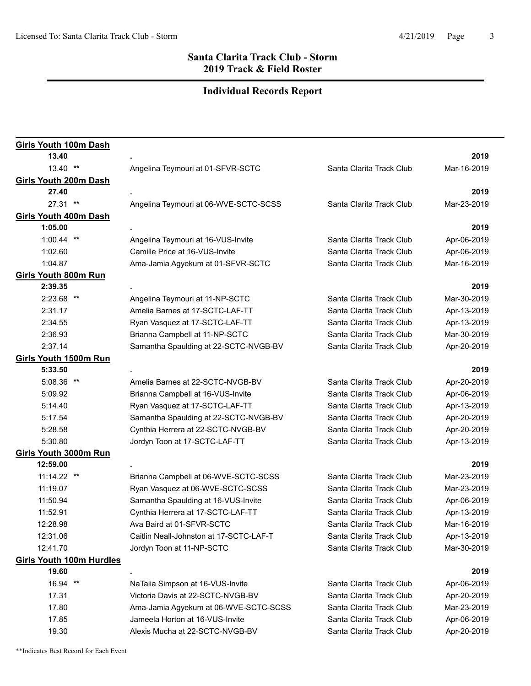| <b>Girls Youth 100m Dash</b>    |                                         |                          |             |
|---------------------------------|-----------------------------------------|--------------------------|-------------|
| 13.40                           |                                         |                          | 2019        |
| $13.40$ **                      | Angelina Teymouri at 01-SFVR-SCTC       | Santa Clarita Track Club | Mar-16-2019 |
| Girls Youth 200m Dash           |                                         |                          |             |
| 27.40                           |                                         |                          | 2019        |
| 27.31 **                        | Angelina Teymouri at 06-WVE-SCTC-SCSS   | Santa Clarita Track Club | Mar-23-2019 |
| <b>Girls Youth 400m Dash</b>    |                                         |                          |             |
| 1:05.00                         |                                         |                          | 2019        |
| $1:00.44$ **                    | Angelina Teymouri at 16-VUS-Invite      | Santa Clarita Track Club | Apr-06-2019 |
| 1:02.60                         | Camille Price at 16-VUS-Invite          | Santa Clarita Track Club | Apr-06-2019 |
| 1:04.87                         | Ama-Jamia Agyekum at 01-SFVR-SCTC       | Santa Clarita Track Club | Mar-16-2019 |
| Girls Youth 800m Run            |                                         |                          |             |
| 2:39.35                         |                                         |                          | 2019        |
| $2:23.68$ **                    | Angelina Teymouri at 11-NP-SCTC         | Santa Clarita Track Club | Mar-30-2019 |
| 2:31.17                         | Amelia Barnes at 17-SCTC-LAF-TT         | Santa Clarita Track Club | Apr-13-2019 |
| 2:34.55                         | Ryan Vasquez at 17-SCTC-LAF-TT          | Santa Clarita Track Club | Apr-13-2019 |
| 2:36.93                         | Brianna Campbell at 11-NP-SCTC          | Santa Clarita Track Club | Mar-30-2019 |
| 2:37.14                         | Samantha Spaulding at 22-SCTC-NVGB-BV   | Santa Clarita Track Club | Apr-20-2019 |
| <b>Girls Youth 1500m Run</b>    |                                         |                          |             |
| 5:33.50                         |                                         |                          | 2019        |
| 5:08.36 **                      | Amelia Barnes at 22-SCTC-NVGB-BV        | Santa Clarita Track Club | Apr-20-2019 |
| 5:09.92                         | Brianna Campbell at 16-VUS-Invite       | Santa Clarita Track Club | Apr-06-2019 |
| 5:14.40                         | Ryan Vasquez at 17-SCTC-LAF-TT          | Santa Clarita Track Club | Apr-13-2019 |
| 5:17.54                         | Samantha Spaulding at 22-SCTC-NVGB-BV   | Santa Clarita Track Club | Apr-20-2019 |
| 5:28.58                         | Cynthia Herrera at 22-SCTC-NVGB-BV      | Santa Clarita Track Club | Apr-20-2019 |
| 5:30.80                         | Jordyn Toon at 17-SCTC-LAF-TT           | Santa Clarita Track Club | Apr-13-2019 |
| Girls Youth 3000m Run           |                                         |                          |             |
| 12:59.00                        |                                         |                          | 2019        |
| 11:14.22 **                     | Brianna Campbell at 06-WVE-SCTC-SCSS    | Santa Clarita Track Club | Mar-23-2019 |
| 11:19.07                        | Ryan Vasquez at 06-WVE-SCTC-SCSS        | Santa Clarita Track Club | Mar-23-2019 |
| 11:50.94                        | Samantha Spaulding at 16-VUS-Invite     | Santa Clarita Track Club | Apr-06-2019 |
| 11:52.91                        | Cynthia Herrera at 17-SCTC-LAF-TT       | Santa Clarita Track Club | Apr-13-2019 |
| 12:28.98                        | Ava Baird at 01-SFVR-SCTC               | Santa Clarita Track Club | Mar-16-2019 |
| 12:31.06                        | Caitlin Neall-Johnston at 17-SCTC-LAF-T | Santa Clarita Track Club | Apr-13-2019 |
| 12:41.70                        | Jordyn Toon at 11-NP-SCTC               | Santa Clarita Track Club | Mar-30-2019 |
| <b>Girls Youth 100m Hurdles</b> |                                         |                          |             |
| 19.60                           |                                         |                          | 2019        |
| 16.94 **                        | NaTalia Simpson at 16-VUS-Invite        | Santa Clarita Track Club | Apr-06-2019 |
| 17.31                           | Victoria Davis at 22-SCTC-NVGB-BV       | Santa Clarita Track Club | Apr-20-2019 |
| 17.80                           | Ama-Jamia Agyekum at 06-WVE-SCTC-SCSS   | Santa Clarita Track Club | Mar-23-2019 |
| 17.85                           | Jameela Horton at 16-VUS-Invite         | Santa Clarita Track Club | Apr-06-2019 |
| 19.30                           | Alexis Mucha at 22-SCTC-NVGB-BV         | Santa Clarita Track Club | Apr-20-2019 |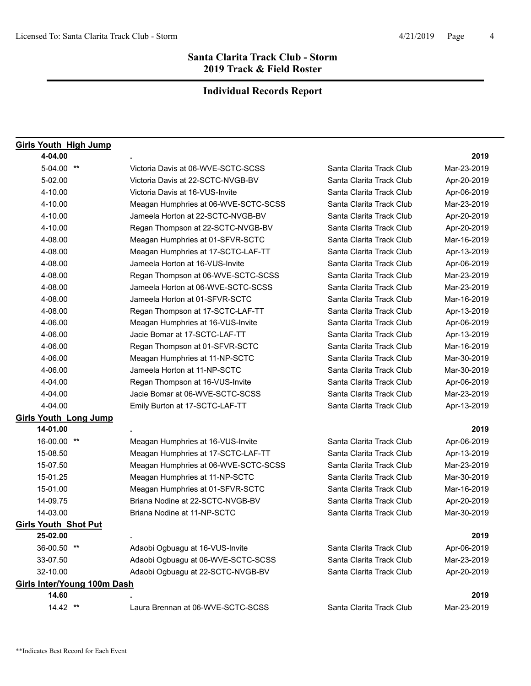| <b>Girls Youth High Jump</b>       |                                      |                          |             |
|------------------------------------|--------------------------------------|--------------------------|-------------|
| 4-04.00                            |                                      |                          | 2019        |
| 5-04.00 **                         | Victoria Davis at 06-WVE-SCTC-SCSS   | Santa Clarita Track Club | Mar-23-2019 |
| 5-02.00                            | Victoria Davis at 22-SCTC-NVGB-BV    | Santa Clarita Track Club | Apr-20-2019 |
| 4-10.00                            | Victoria Davis at 16-VUS-Invite      | Santa Clarita Track Club | Apr-06-2019 |
| 4-10.00                            | Meagan Humphries at 06-WVE-SCTC-SCSS | Santa Clarita Track Club | Mar-23-2019 |
| 4-10.00                            | Jameela Horton at 22-SCTC-NVGB-BV    | Santa Clarita Track Club | Apr-20-2019 |
| 4-10.00                            | Regan Thompson at 22-SCTC-NVGB-BV    | Santa Clarita Track Club | Apr-20-2019 |
| 4-08.00                            | Meagan Humphries at 01-SFVR-SCTC     | Santa Clarita Track Club | Mar-16-2019 |
| 4-08.00                            | Meagan Humphries at 17-SCTC-LAF-TT   | Santa Clarita Track Club | Apr-13-2019 |
| 4-08.00                            | Jameela Horton at 16-VUS-Invite      | Santa Clarita Track Club | Apr-06-2019 |
| 4-08.00                            | Regan Thompson at 06-WVE-SCTC-SCSS   | Santa Clarita Track Club | Mar-23-2019 |
| 4-08.00                            | Jameela Horton at 06-WVE-SCTC-SCSS   | Santa Clarita Track Club | Mar-23-2019 |
| 4-08.00                            | Jameela Horton at 01-SFVR-SCTC       | Santa Clarita Track Club | Mar-16-2019 |
| 4-08.00                            | Regan Thompson at 17-SCTC-LAF-TT     | Santa Clarita Track Club | Apr-13-2019 |
| 4-06.00                            | Meagan Humphries at 16-VUS-Invite    | Santa Clarita Track Club | Apr-06-2019 |
| 4-06.00                            | Jacie Bomar at 17-SCTC-LAF-TT        | Santa Clarita Track Club | Apr-13-2019 |
| 4-06.00                            | Regan Thompson at 01-SFVR-SCTC       | Santa Clarita Track Club | Mar-16-2019 |
| 4-06.00                            | Meagan Humphries at 11-NP-SCTC       | Santa Clarita Track Club | Mar-30-2019 |
| 4-06.00                            | Jameela Horton at 11-NP-SCTC         | Santa Clarita Track Club | Mar-30-2019 |
| 4-04.00                            | Regan Thompson at 16-VUS-Invite      | Santa Clarita Track Club | Apr-06-2019 |
| 4-04.00                            | Jacie Bomar at 06-WVE-SCTC-SCSS      | Santa Clarita Track Club | Mar-23-2019 |
| 4-04.00                            | Emily Burton at 17-SCTC-LAF-TT       | Santa Clarita Track Club | Apr-13-2019 |
| <b>Girls Youth Long Jump</b>       |                                      |                          |             |
| 14-01.00                           |                                      |                          | 2019        |
| 16-00.00 **                        | Meagan Humphries at 16-VUS-Invite    | Santa Clarita Track Club | Apr-06-2019 |
| 15-08.50                           | Meagan Humphries at 17-SCTC-LAF-TT   | Santa Clarita Track Club | Apr-13-2019 |
| 15-07.50                           | Meagan Humphries at 06-WVE-SCTC-SCSS | Santa Clarita Track Club | Mar-23-2019 |
| 15-01.25                           | Meagan Humphries at 11-NP-SCTC       | Santa Clarita Track Club | Mar-30-2019 |
| 15-01.00                           | Meagan Humphries at 01-SFVR-SCTC     | Santa Clarita Track Club | Mar-16-2019 |
| 14-09.75                           | Briana Nodine at 22-SCTC-NVGB-BV     | Santa Clarita Track Club | Apr-20-2019 |
| 14-03.00                           | Briana Nodine at 11-NP-SCTC          | Santa Clarita Track Club | Mar-30-2019 |
| <b>Girls Youth Shot Put</b>        |                                      |                          |             |
| 25-02.00                           |                                      |                          | 2019        |
| 36-00.50 **                        | Adaobi Ogbuagu at 16-VUS-Invite      | Santa Clarita Track Club | Apr-06-2019 |
| 33-07.50                           | Adaobi Ogbuagu at 06-WVE-SCTC-SCSS   | Santa Clarita Track Club | Mar-23-2019 |
| 32-10.00                           | Adaobi Ogbuagu at 22-SCTC-NVGB-BV    | Santa Clarita Track Club | Apr-20-2019 |
| <b>Girls Inter/Young 100m Dash</b> |                                      |                          |             |
| 14.60                              |                                      |                          | 2019        |
| $14.42$ **                         | Laura Brennan at 06-WVE-SCTC-SCSS    | Santa Clarita Track Club | Mar-23-2019 |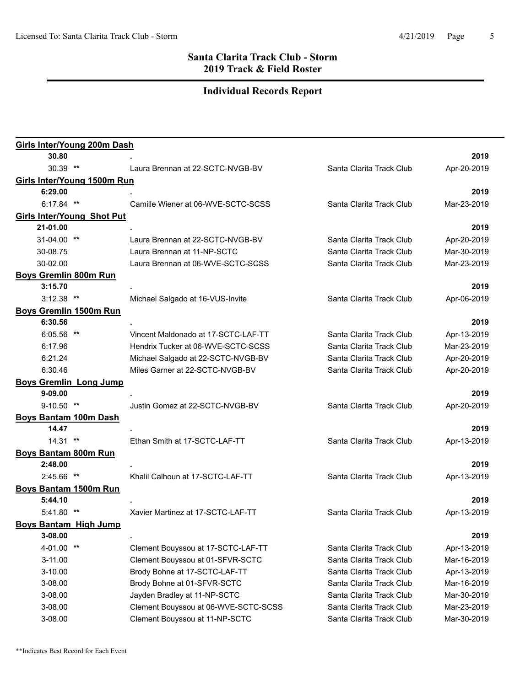| <b>Girls Inter/Young 200m Dash</b> |                                      |                          |             |
|------------------------------------|--------------------------------------|--------------------------|-------------|
| 30.80                              |                                      |                          | 2019        |
| 30.39 **                           | Laura Brennan at 22-SCTC-NVGB-BV     | Santa Clarita Track Club | Apr-20-2019 |
| Girls Inter/Young 1500m Run        |                                      |                          |             |
| 6:29.00                            |                                      |                          | 2019        |
| $6:17.84$ **                       | Camille Wiener at 06-WVE-SCTC-SCSS   | Santa Clarita Track Club | Mar-23-2019 |
| <b>Girls Inter/Young Shot Put</b>  |                                      |                          |             |
| 21-01.00                           |                                      |                          | 2019        |
| 31-04.00 **                        | Laura Brennan at 22-SCTC-NVGB-BV     | Santa Clarita Track Club | Apr-20-2019 |
| 30-08.75                           | Laura Brennan at 11-NP-SCTC          | Santa Clarita Track Club | Mar-30-2019 |
| 30-02.00                           | Laura Brennan at 06-WVE-SCTC-SCSS    | Santa Clarita Track Club | Mar-23-2019 |
| <b>Boys Gremlin 800m Run</b>       |                                      |                          |             |
| 3:15.70                            |                                      |                          | 2019        |
| $3:12.38$ **                       | Michael Salgado at 16-VUS-Invite     | Santa Clarita Track Club | Apr-06-2019 |
| <b>Boys Gremlin 1500m Run</b>      |                                      |                          |             |
| 6:30.56                            |                                      |                          | 2019        |
| $6:05.56$ **                       | Vincent Maldonado at 17-SCTC-LAF-TT  | Santa Clarita Track Club | Apr-13-2019 |
| 6:17.96                            | Hendrix Tucker at 06-WVE-SCTC-SCSS   | Santa Clarita Track Club | Mar-23-2019 |
| 6:21.24                            | Michael Salgado at 22-SCTC-NVGB-BV   | Santa Clarita Track Club | Apr-20-2019 |
| 6:30.46                            | Miles Garner at 22-SCTC-NVGB-BV      | Santa Clarita Track Club | Apr-20-2019 |
| <b>Boys Gremlin Long Jump</b>      |                                      |                          |             |
| 9-09.00                            |                                      |                          | 2019        |
| $9-10.50$ **                       | Justin Gomez at 22-SCTC-NVGB-BV      | Santa Clarita Track Club | Apr-20-2019 |
| <b>Boys Bantam 100m Dash</b>       |                                      |                          |             |
| 14.47                              |                                      |                          | 2019        |
| $14.31$ **                         | Ethan Smith at 17-SCTC-LAF-TT        | Santa Clarita Track Club | Apr-13-2019 |
| <b>Boys Bantam 800m Run</b>        |                                      |                          |             |
| 2:48.00                            |                                      |                          | 2019        |
| 2:45.66 **                         | Khalil Calhoun at 17-SCTC-LAF-TT     | Santa Clarita Track Club | Apr-13-2019 |
| <b>Boys Bantam 1500m Run</b>       |                                      |                          |             |
| 5:44.10                            |                                      |                          | 2019        |
| 5:41.80 **                         | Xavier Martinez at 17-SCTC-LAF-TT    | Santa Clarita Track Club | Apr-13-2019 |
| <b>Boys Bantam High Jump</b>       |                                      |                          |             |
| 3-08.00                            |                                      |                          | 2019        |
| 4-01.00 **                         | Clement Bouyssou at 17-SCTC-LAF-TT   | Santa Clarita Track Club | Apr-13-2019 |
| 3-11.00                            | Clement Bouyssou at 01-SFVR-SCTC     | Santa Clarita Track Club | Mar-16-2019 |
| $3 - 10.00$                        | Brody Bohne at 17-SCTC-LAF-TT        | Santa Clarita Track Club | Apr-13-2019 |
| 3-08.00                            | Brody Bohne at 01-SFVR-SCTC          | Santa Clarita Track Club | Mar-16-2019 |
| 3-08.00                            | Jayden Bradley at 11-NP-SCTC         | Santa Clarita Track Club | Mar-30-2019 |
| 3-08.00                            | Clement Bouyssou at 06-WVE-SCTC-SCSS | Santa Clarita Track Club | Mar-23-2019 |
| 3-08.00                            | Clement Bouyssou at 11-NP-SCTC       | Santa Clarita Track Club | Mar-30-2019 |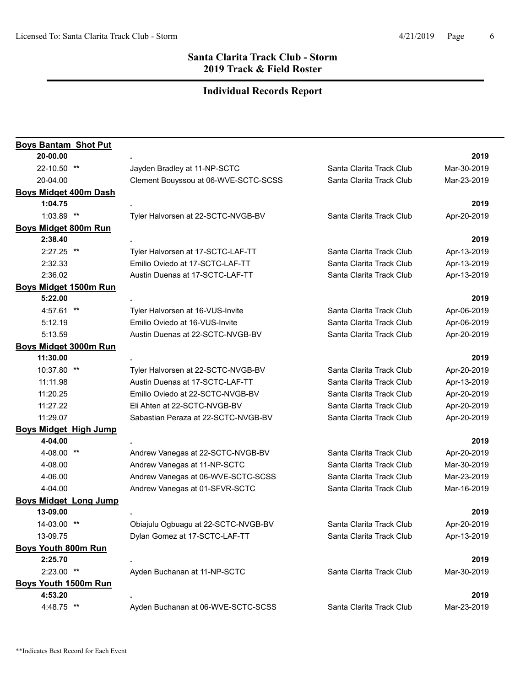| <b>Boys Bantam Shot Put</b>  |                                      |                          |             |
|------------------------------|--------------------------------------|--------------------------|-------------|
| 20-00.00                     |                                      |                          | 2019        |
| 22-10.50 **                  | Jayden Bradley at 11-NP-SCTC         | Santa Clarita Track Club | Mar-30-2019 |
| 20-04.00                     | Clement Bouyssou at 06-WVE-SCTC-SCSS | Santa Clarita Track Club | Mar-23-2019 |
| <b>Boys Midget 400m Dash</b> |                                      |                          |             |
| 1:04.75                      |                                      |                          | 2019        |
| $1:03.89$ **                 | Tyler Halvorsen at 22-SCTC-NVGB-BV   | Santa Clarita Track Club | Apr-20-2019 |
| Boys Midget 800m Run         |                                      |                          |             |
| 2:38.40                      |                                      |                          | 2019        |
| 2:27.25 **                   | Tyler Halvorsen at 17-SCTC-LAF-TT    | Santa Clarita Track Club | Apr-13-2019 |
| 2:32.33                      | Emilio Oviedo at 17-SCTC-LAF-TT      | Santa Clarita Track Club | Apr-13-2019 |
| 2:36.02                      | Austin Duenas at 17-SCTC-LAF-TT      | Santa Clarita Track Club | Apr-13-2019 |
| <b>Boys Midget 1500m Run</b> |                                      |                          |             |
| 5:22.00                      |                                      |                          | 2019        |
| 4:57.61 **                   | Tyler Halvorsen at 16-VUS-Invite     | Santa Clarita Track Club | Apr-06-2019 |
| 5:12.19                      | Emilio Oviedo at 16-VUS-Invite       | Santa Clarita Track Club | Apr-06-2019 |
| 5:13.59                      | Austin Duenas at 22-SCTC-NVGB-BV     | Santa Clarita Track Club | Apr-20-2019 |
| <b>Boys Midget 3000m Run</b> |                                      |                          |             |
| 11:30.00                     |                                      |                          | 2019        |
| 10:37.80 **                  | Tyler Halvorsen at 22-SCTC-NVGB-BV   | Santa Clarita Track Club | Apr-20-2019 |
| 11:11.98                     | Austin Duenas at 17-SCTC-LAF-TT      | Santa Clarita Track Club | Apr-13-2019 |
| 11:20.25                     | Emilio Oviedo at 22-SCTC-NVGB-BV     | Santa Clarita Track Club | Apr-20-2019 |
| 11:27.22                     | Eli Ahten at 22-SCTC-NVGB-BV         | Santa Clarita Track Club | Apr-20-2019 |
| 11:29.07                     | Sabastian Peraza at 22-SCTC-NVGB-BV  | Santa Clarita Track Club | Apr-20-2019 |
| <b>Boys Midget High Jump</b> |                                      |                          |             |
| 4-04.00                      |                                      |                          | 2019        |
| 4-08.00 **                   | Andrew Vanegas at 22-SCTC-NVGB-BV    | Santa Clarita Track Club | Apr-20-2019 |
| 4-08.00                      | Andrew Vanegas at 11-NP-SCTC         | Santa Clarita Track Club | Mar-30-2019 |
| 4-06.00                      | Andrew Vanegas at 06-WVE-SCTC-SCSS   | Santa Clarita Track Club | Mar-23-2019 |
| 4-04.00                      | Andrew Vanegas at 01-SFVR-SCTC       | Santa Clarita Track Club | Mar-16-2019 |
| <b>Boys Midget Long Jump</b> |                                      |                          |             |
| 13-09.00                     |                                      |                          | 2019        |
| 14-03.00 **                  | Obiajulu Ogbuagu at 22-SCTC-NVGB-BV  | Santa Clarita Track Club | Apr-20-2019 |
| 13-09.75                     | Dylan Gomez at 17-SCTC-LAF-TT        | Santa Clarita Track Club | Apr-13-2019 |
| <b>Boys Youth 800m Run</b>   |                                      |                          |             |
| 2:25.70                      |                                      |                          | 2019        |
| $2:23.00$ **                 | Ayden Buchanan at 11-NP-SCTC         | Santa Clarita Track Club | Mar-30-2019 |
| Boys Youth 1500m Run         |                                      |                          |             |
| 4:53.20                      |                                      |                          | 2019        |
| 4:48.75 **                   | Ayden Buchanan at 06-WVE-SCTC-SCSS   | Santa Clarita Track Club | Mar-23-2019 |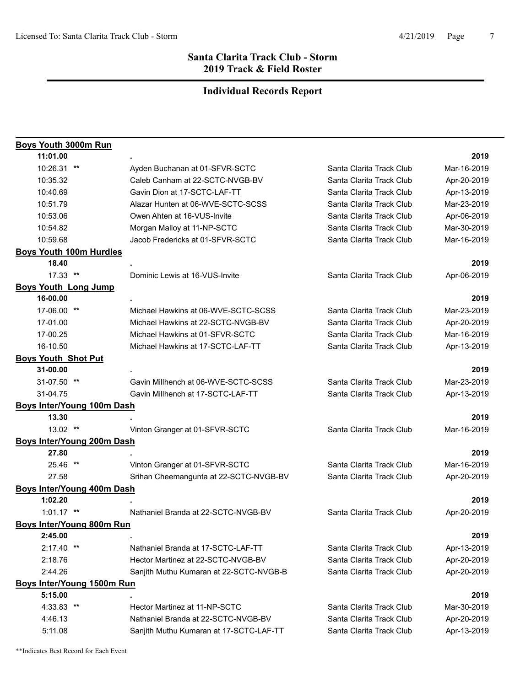| <b>Boys Youth 3000m Run</b>       |                                         |                          |             |
|-----------------------------------|-----------------------------------------|--------------------------|-------------|
| 11:01.00                          |                                         |                          | 2019        |
| 10:26.31 **                       | Ayden Buchanan at 01-SFVR-SCTC          | Santa Clarita Track Club | Mar-16-2019 |
| 10:35.32                          | Caleb Canham at 22-SCTC-NVGB-BV         | Santa Clarita Track Club | Apr-20-2019 |
| 10:40.69                          | Gavin Dion at 17-SCTC-LAF-TT            | Santa Clarita Track Club | Apr-13-2019 |
| 10:51.79                          | Alazar Hunten at 06-WVE-SCTC-SCSS       | Santa Clarita Track Club | Mar-23-2019 |
| 10:53.06                          | Owen Ahten at 16-VUS-Invite             | Santa Clarita Track Club | Apr-06-2019 |
| 10:54.82                          | Morgan Malloy at 11-NP-SCTC             | Santa Clarita Track Club | Mar-30-2019 |
| 10:59.68                          | Jacob Fredericks at 01-SFVR-SCTC        | Santa Clarita Track Club | Mar-16-2019 |
| <b>Boys Youth 100m Hurdles</b>    |                                         |                          |             |
| 18.40                             |                                         |                          | 2019        |
| 17.33 **                          | Dominic Lewis at 16-VUS-Invite          | Santa Clarita Track Club | Apr-06-2019 |
| <b>Boys Youth Long Jump</b>       |                                         |                          |             |
| 16-00.00                          |                                         |                          | 2019        |
| 17-06.00 **                       | Michael Hawkins at 06-WVE-SCTC-SCSS     | Santa Clarita Track Club | Mar-23-2019 |
| 17-01.00                          | Michael Hawkins at 22-SCTC-NVGB-BV      | Santa Clarita Track Club | Apr-20-2019 |
| 17-00.25                          | Michael Hawkins at 01-SFVR-SCTC         | Santa Clarita Track Club | Mar-16-2019 |
| 16-10.50                          | Michael Hawkins at 17-SCTC-LAF-TT       | Santa Clarita Track Club | Apr-13-2019 |
| <b>Boys Youth Shot Put</b>        |                                         |                          |             |
| 31-00.00                          |                                         |                          | 2019        |
| 31-07.50 **                       | Gavin Millhench at 06-WVE-SCTC-SCSS     | Santa Clarita Track Club | Mar-23-2019 |
| 31-04.75                          | Gavin Millhench at 17-SCTC-LAF-TT       | Santa Clarita Track Club | Apr-13-2019 |
| <b>Boys Inter/Young 100m Dash</b> |                                         |                          |             |
| 13.30                             |                                         |                          | 2019        |
| 13.02 **                          | Vinton Granger at 01-SFVR-SCTC          | Santa Clarita Track Club | Mar-16-2019 |
| <b>Boys Inter/Young 200m Dash</b> |                                         |                          |             |
| 27.80                             |                                         |                          | 2019        |
| 25.46 **                          | Vinton Granger at 01-SFVR-SCTC          | Santa Clarita Track Club | Mar-16-2019 |
| 27.58                             | Srihan Cheemangunta at 22-SCTC-NVGB-BV  | Santa Clarita Track Club | Apr-20-2019 |
| <b>Boys Inter/Young 400m Dash</b> |                                         |                          |             |
| 1:02.20                           |                                         |                          | 2019        |
| $1:01.17$ **                      | Nathaniel Branda at 22-SCTC-NVGB-BV     | Santa Clarita Track Club | Apr-20-2019 |
| Boys Inter/Young 800m Run         |                                         |                          |             |
| 2:45.00                           |                                         |                          | 2019        |
| $2:17.40$ **                      | Nathaniel Branda at 17-SCTC-LAF-TT      | Santa Clarita Track Club | Apr-13-2019 |
| 2:18.76                           | Hector Martinez at 22-SCTC-NVGB-BV      | Santa Clarita Track Club | Apr-20-2019 |
| 2:44.26                           | Sanjith Muthu Kumaran at 22-SCTC-NVGB-B | Santa Clarita Track Club | Apr-20-2019 |
| Boys Inter/Young 1500m Run        |                                         |                          |             |
| 5:15.00                           |                                         |                          | 2019        |
| 4:33.83 **                        | Hector Martinez at 11-NP-SCTC           | Santa Clarita Track Club | Mar-30-2019 |
| 4:46.13                           | Nathaniel Branda at 22-SCTC-NVGB-BV     | Santa Clarita Track Club | Apr-20-2019 |
| 5:11.08                           | Sanjith Muthu Kumaran at 17-SCTC-LAF-TT | Santa Clarita Track Club | Apr-13-2019 |